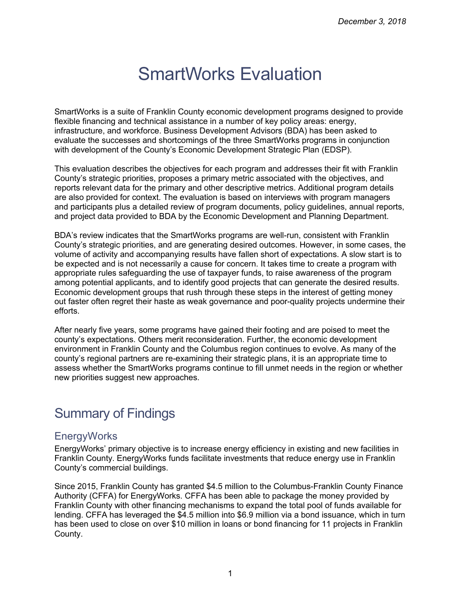# SmartWorks Evaluation

SmartWorks is a suite of Franklin County economic development programs designed to provide flexible financing and technical assistance in a number of key policy areas: energy, infrastructure, and workforce. Business Development Advisors (BDA) has been asked to evaluate the successes and shortcomings of the three SmartWorks programs in conjunction with development of the County's Economic Development Strategic Plan (EDSP).

This evaluation describes the objectives for each program and addresses their fit with Franklin County's strategic priorities, proposes a primary metric associated with the objectives, and reports relevant data for the primary and other descriptive metrics. Additional program details are also provided for context. The evaluation is based on interviews with program managers and participants plus a detailed review of program documents, policy guidelines, annual reports, and project data provided to BDA by the Economic Development and Planning Department.

BDA's review indicates that the SmartWorks programs are well-run, consistent with Franklin County's strategic priorities, and are generating desired outcomes. However, in some cases, the volume of activity and accompanying results have fallen short of expectations. A slow start is to be expected and is not necessarily a cause for concern. It takes time to create a program with appropriate rules safeguarding the use of taxpayer funds, to raise awareness of the program among potential applicants, and to identify good projects that can generate the desired results. Economic development groups that rush through these steps in the interest of getting money out faster often regret their haste as weak governance and poor-quality projects undermine their efforts.

After nearly five years, some programs have gained their footing and are poised to meet the county's expectations. Others merit reconsideration. Further, the economic development environment in Franklin County and the Columbus region continues to evolve. As many of the county's regional partners are re-examining their strategic plans, it is an appropriate time to assess whether the SmartWorks programs continue to fill unmet needs in the region or whether new priorities suggest new approaches.

# Summary of Findings

#### **EnergyWorks**

EnergyWorks' primary objective is to increase energy efficiency in existing and new facilities in Franklin County. EnergyWorks funds facilitate investments that reduce energy use in Franklin County's commercial buildings.

Since 2015, Franklin County has granted \$4.5 million to the Columbus-Franklin County Finance Authority (CFFA) for EnergyWorks. CFFA has been able to package the money provided by Franklin County with other financing mechanisms to expand the total pool of funds available for lending. CFFA has leveraged the \$4.5 million into \$6.9 million via a bond issuance, which in turn has been used to close on over \$10 million in loans or bond financing for 11 projects in Franklin County.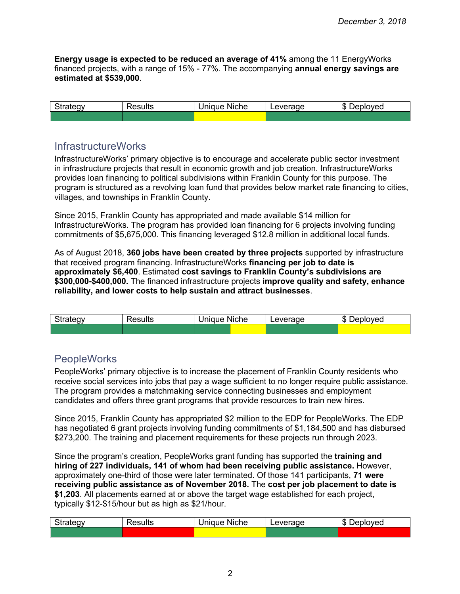**Energy usage is expected to be reduced an average of 41%** among the 11 EnergyWorks financed projects, with a range of 15% - 77%. The accompanying **annual energy savings are estimated at \$539,000**.

| $\sim$<br>ັ | -<br>,,,,,,,,,<br>∸ | <b>Niche</b><br>10.12<br>ПA<br>. . | verage<br>ever | ௱<br>วvec<br>יי<br>,,,<br>۰D |
|-------------|---------------------|------------------------------------|----------------|------------------------------|
|             |                     |                                    |                |                              |

#### InfrastructureWorks

InfrastructureWorks' primary objective is to encourage and accelerate public sector investment in infrastructure projects that result in economic growth and job creation. InfrastructureWorks provides loan financing to political subdivisions within Franklin County for this purpose. The program is structured as a revolving loan fund that provides below market rate financing to cities, villages, and townships in Franklin County.

Since 2015, Franklin County has appropriated and made available \$14 million for InfrastructureWorks. The program has provided loan financing for 6 projects involving funding commitments of \$5,675,000. This financing leveraged \$12.8 million in additional local funds.

As of August 2018, **360 jobs have been created by three projects** supported by infrastructure that received program financing. InfrastructureWorks **financing per job to date is approximately \$6,400**. Estimated **cost savings to Franklin County's subdivisions are \$300,000-\$400,000.** The financed infrastructure projects **improve quality and safety, enhance reliability, and lower costs to help sustain and attract businesses**.

| <b>.</b><br>.<br>ateav:<br>$\sim$ $\sim$ | ≀esults | . .<br><b>Niche</b><br>Jnique<br>້ | everage | ௱<br>loved<br>ж<br>∸י<br>۰D |
|------------------------------------------|---------|------------------------------------|---------|-----------------------------|
|                                          |         |                                    |         |                             |

#### **PeopleWorks**

PeopleWorks' primary objective is to increase the placement of Franklin County residents who receive social services into jobs that pay a wage sufficient to no longer require public assistance. The program provides a matchmaking service connecting businesses and employment candidates and offers three grant programs that provide resources to train new hires.

Since 2015, Franklin County has appropriated \$2 million to the EDP for PeopleWorks. The EDP has negotiated 6 grant projects involving funding commitments of \$1,184,500 and has disbursed \$273,200. The training and placement requirements for these projects run through 2023.

Since the program's creation, PeopleWorks grant funding has supported the **training and hiring of 227 individuals, 141 of whom had been receiving public assistance.** However, approximately one-third of those were later terminated. Of those 141 participants, **71 were receiving public assistance as of November 2018.** The **cost per job placement to date is \$1,203**. All placements earned at or above the target wage established for each project, typically \$12-\$15/hour but as high as \$21/hour.

| $\sim$<br>Strategy | -<br>≺esults | <b>Niche</b><br>Unique | Leverage | 灬<br>-<br>Jeploved<br>۰D<br>ັ |  |
|--------------------|--------------|------------------------|----------|-------------------------------|--|
|                    |              |                        |          |                               |  |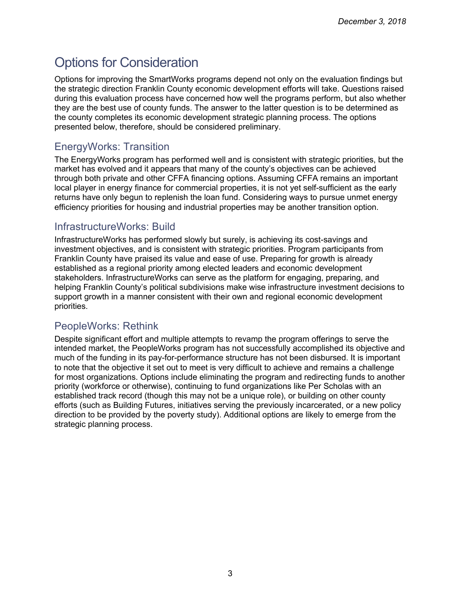# Options for Consideration

Options for improving the SmartWorks programs depend not only on the evaluation findings but the strategic direction Franklin County economic development efforts will take. Questions raised during this evaluation process have concerned how well the programs perform, but also whether they are the best use of county funds. The answer to the latter question is to be determined as the county completes its economic development strategic planning process. The options presented below, therefore, should be considered preliminary.

#### EnergyWorks: Transition

The EnergyWorks program has performed well and is consistent with strategic priorities, but the market has evolved and it appears that many of the county's objectives can be achieved through both private and other CFFA financing options. Assuming CFFA remains an important local player in energy finance for commercial properties, it is not yet self-sufficient as the early returns have only begun to replenish the loan fund. Considering ways to pursue unmet energy efficiency priorities for housing and industrial properties may be another transition option.

#### InfrastructureWorks: Build

InfrastructureWorks has performed slowly but surely, is achieving its cost-savings and investment objectives, and is consistent with strategic priorities. Program participants from Franklin County have praised its value and ease of use. Preparing for growth is already established as a regional priority among elected leaders and economic development stakeholders. InfrastructureWorks can serve as the platform for engaging, preparing, and helping Franklin County's political subdivisions make wise infrastructure investment decisions to support growth in a manner consistent with their own and regional economic development priorities.

#### PeopleWorks: Rethink

Despite significant effort and multiple attempts to revamp the program offerings to serve the intended market, the PeopleWorks program has not successfully accomplished its objective and much of the funding in its pay-for-performance structure has not been disbursed. It is important to note that the objective it set out to meet is very difficult to achieve and remains a challenge for most organizations. Options include eliminating the program and redirecting funds to another priority (workforce or otherwise), continuing to fund organizations like Per Scholas with an established track record (though this may not be a unique role), or building on other county efforts (such as Building Futures, initiatives serving the previously incarcerated, or a new policy direction to be provided by the poverty study). Additional options are likely to emerge from the strategic planning process.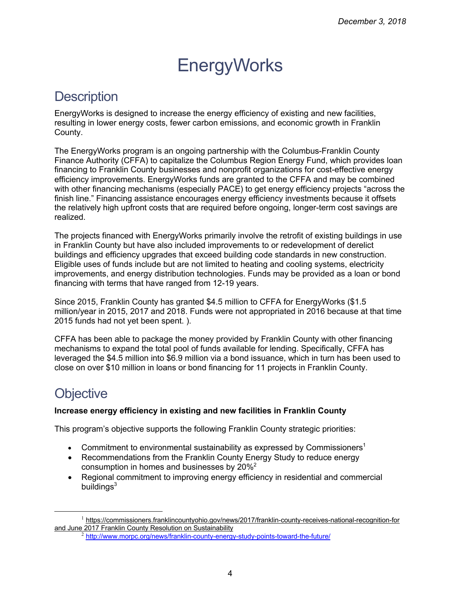# **EnergyWorks**

### **Description**

EnergyWorks is designed to increase the energy efficiency of existing and new facilities, resulting in lower energy costs, fewer carbon emissions, and economic growth in Franklin County.

The EnergyWorks program is an ongoing partnership with the Columbus-Franklin County Finance Authority (CFFA) to capitalize the Columbus Region Energy Fund, which provides loan financing to Franklin County businesses and nonprofit organizations for cost-effective energy efficiency improvements. EnergyWorks funds are granted to the CFFA and may be combined with other financing mechanisms (especially PACE) to get energy efficiency projects "across the finish line." Financing assistance encourages energy efficiency investments because it offsets the relatively high upfront costs that are required before ongoing, longer-term cost savings are realized.

The projects financed with EnergyWorks primarily involve the retrofit of existing buildings in use in Franklin County but have also included improvements to or redevelopment of derelict buildings and efficiency upgrades that exceed building code standards in new construction. Eligible uses of funds include but are not limited to heating and cooling systems, electricity improvements, and energy distribution technologies. Funds may be provided as a loan or bond financing with terms that have ranged from 12-19 years.

Since 2015, Franklin County has granted \$4.5 million to CFFA for EnergyWorks (\$1.5 million/year in 2015, 2017 and 2018. Funds were not appropriated in 2016 because at that time 2015 funds had not yet been spent. ).

CFFA has been able to package the money provided by Franklin County with other financing mechanisms to expand the total pool of funds available for lending. Specifically, CFFA has leveraged the \$4.5 million into \$6.9 million via a bond issuance, which in turn has been used to close on over \$10 million in loans or bond financing for 11 projects in Franklin County.

# **Objective**

#### **Increase energy efficiency in existing and new facilities in Franklin County**

This program's objective supports the following Franklin County strategic priorities:

- Commitment to environmental sustainability as expressed by Commissioners<sup>1</sup>
- Recommendations from the Franklin County Energy Study to reduce energy consumption in homes and businesses by 20%2
- Regional commitment to improving energy efficiency in residential and commercial buildings $3$

<sup>&</sup>lt;sup>1</sup> https://commissioners.franklincountyohio.gov/news/2017/franklin-county-receives-national-recognition-for and June 2017 Franklin County Resolution on Sustainability

 $^2$  http://www.morpc.org/news/franklin-county-energy-study-points-toward-the-future/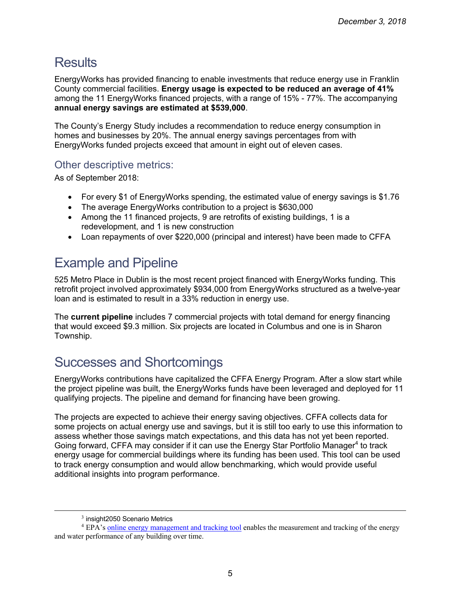# **Results**

EnergyWorks has provided financing to enable investments that reduce energy use in Franklin County commercial facilities. **Energy usage is expected to be reduced an average of 41%** among the 11 EnergyWorks financed projects, with a range of 15% - 77%. The accompanying **annual energy savings are estimated at \$539,000**.

The County's Energy Study includes a recommendation to reduce energy consumption in homes and businesses by 20%. The annual energy savings percentages from with EnergyWorks funded projects exceed that amount in eight out of eleven cases.

#### Other descriptive metrics:

As of September 2018:

- For every \$1 of EnergyWorks spending, the estimated value of energy savings is \$1.76
- The average EnergyWorks contribution to a project is \$630,000
- Among the 11 financed projects, 9 are retrofits of existing buildings, 1 is a redevelopment, and 1 is new construction
- Loan repayments of over \$220,000 (principal and interest) have been made to CFFA

# Example and Pipeline

525 Metro Place in Dublin is the most recent project financed with EnergyWorks funding. This retrofit project involved approximately \$934,000 from EnergyWorks structured as a twelve-year loan and is estimated to result in a 33% reduction in energy use.

The **current pipeline** includes 7 commercial projects with total demand for energy financing that would exceed \$9.3 million. Six projects are located in Columbus and one is in Sharon Township.

# Successes and Shortcomings

EnergyWorks contributions have capitalized the CFFA Energy Program. After a slow start while the project pipeline was built, the EnergyWorks funds have been leveraged and deployed for 11 qualifying projects. The pipeline and demand for financing have been growing.

The projects are expected to achieve their energy saving objectives. CFFA collects data for some projects on actual energy use and savings, but it is still too early to use this information to assess whether those savings match expectations, and this data has not yet been reported. Going forward, CFFA may consider if it can use the Energy Star Portfolio Manager<sup>4</sup> to track energy usage for commercial buildings where its funding has been used. This tool can be used to track energy consumption and would allow benchmarking, which would provide useful additional insights into program performance.

 $\overline{a}$ 

 $3$  insight 2050 Scenario Metrics

<sup>4</sup> EPA's online energy management and tracking tool enables the measurement and tracking of the energy and water performance of any building over time.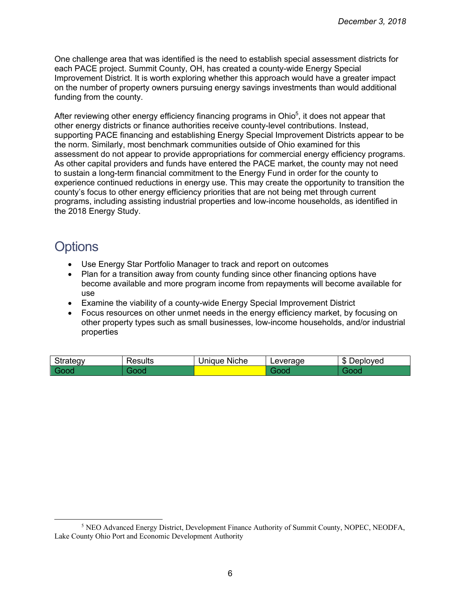One challenge area that was identified is the need to establish special assessment districts for each PACE project. Summit County, OH, has created a county-wide Energy Special Improvement District. It is worth exploring whether this approach would have a greater impact on the number of property owners pursuing energy savings investments than would additional funding from the county.

After reviewing other energy efficiency financing programs in Ohio<sup>5</sup>, it does not appear that other energy districts or finance authorities receive county-level contributions. Instead, supporting PACE financing and establishing Energy Special Improvement Districts appear to be the norm. Similarly, most benchmark communities outside of Ohio examined for this assessment do not appear to provide appropriations for commercial energy efficiency programs. As other capital providers and funds have entered the PACE market, the county may not need to sustain a long-term financial commitment to the Energy Fund in order for the county to experience continued reductions in energy use. This may create the opportunity to transition the county's focus to other energy efficiency priorities that are not being met through current programs, including assisting industrial properties and low-income households, as identified in the 2018 Energy Study.

### **Options**

 $\overline{a}$ 

- Use Energy Star Portfolio Manager to track and report on outcomes
- Plan for a transition away from county funding since other financing options have become available and more program income from repayments will become available for use
- Examine the viability of a county-wide Energy Special Improvement District
- Focus resources on other unmet needs in the energy efficiency market, by focusing on other property types such as small businesses, low-income households, and/or industrial properties

| $\sim$<br><br><u>.</u> | <br>$\sim$<br>es<br>ຣບເເຣ | .<br>'nique<br><b>Niche</b> | 100000<br>$\Omega_{\rm ML}$ | ⋒<br>oved<br>יי<br>.<br>۰D |
|------------------------|---------------------------|-----------------------------|-----------------------------|----------------------------|
|                        |                           |                             |                             |                            |

<sup>5</sup> NEO Advanced Energy District, Development Finance Authority of Summit County, NOPEC, NEODFA, Lake County Ohio Port and Economic Development Authority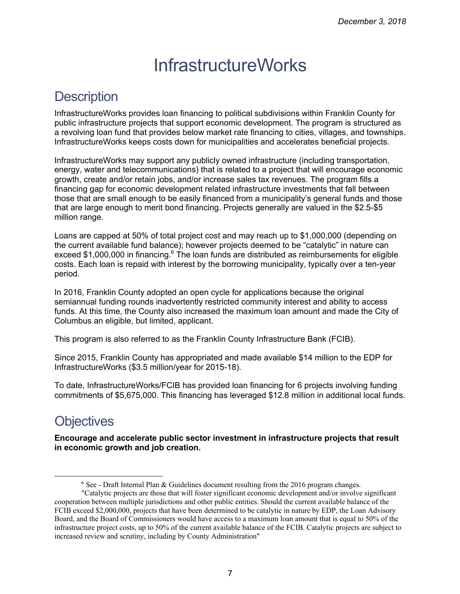# **InfrastructureWorks**

# **Description**

InfrastructureWorks provides loan financing to political subdivisions within Franklin County for public infrastructure projects that support economic development. The program is structured as a revolving loan fund that provides below market rate financing to cities, villages, and townships. InfrastructureWorks keeps costs down for municipalities and accelerates beneficial projects.

InfrastructureWorks may support any publicly owned infrastructure (including transportation, energy, water and telecommunications) that is related to a project that will encourage economic growth, create and/or retain jobs, and/or increase sales tax revenues. The program fills a financing gap for economic development related infrastructure investments that fall between those that are small enough to be easily financed from a municipality's general funds and those that are large enough to merit bond financing. Projects generally are valued in the \$2.5-\$5 million range.

Loans are capped at 50% of total project cost and may reach up to \$1,000,000 (depending on the current available fund balance); however projects deemed to be "catalytic" in nature can exceed \$1,000,000 in financing.<sup>6</sup> The loan funds are distributed as reimbursements for eligible costs. Each loan is repaid with interest by the borrowing municipality, typically over a ten-year period.

In 2016, Franklin County adopted an open cycle for applications because the original semiannual funding rounds inadvertently restricted community interest and ability to access funds. At this time, the County also increased the maximum loan amount and made the City of Columbus an eligible, but limited, applicant.

This program is also referred to as the Franklin County Infrastructure Bank (FCIB).

Since 2015, Franklin County has appropriated and made available \$14 million to the EDP for InfrastructureWorks (\$3.5 million/year for 2015-18).

To date, InfrastructureWorks/FCIB has provided loan financing for 6 projects involving funding commitments of \$5,675,000. This financing has leveraged \$12.8 million in additional local funds.

# **Objectives**

 $\overline{a}$ 

**Encourage and accelerate public sector investment in infrastructure projects that result in economic growth and job creation.** 

 $6$  See - Draft Internal Plan & Guidelines document resulting from the 2016 program changes.

<sup>&</sup>quot;Catalytic projects are those that will foster significant economic development and/or involve significant cooperation between multiple jurisdictions and other public entities. Should the current available balance of the FCIB exceed \$2,000,000, projects that have been determined to be catalytic in nature by EDP, the Loan Advisory Board, and the Board of Commissioners would have access to a maximum loan amount that is equal to 50% of the infrastructure project costs, up to 50% of the current available balance of the FCIB. Catalytic projects are subject to increased review and scrutiny, including by County Administration"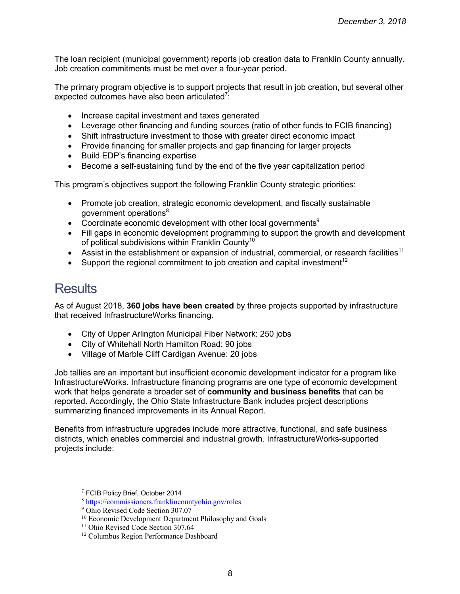The loan recipient (municipal government) reports job creation data to Franklin County annually. Job creation commitments must be met over a four-year period.

The primary program objective is to support projects that result in job creation, but several other expected outcomes have also been articulated<sup>7</sup>:

- Increase capital investment and taxes generated
- Leverage other financing and funding sources (ratio of other funds to FCIB financing)
- Shift infrastructure investment to those with greater direct economic impact
- Provide financing for smaller projects and gap financing for larger projects
- Build EDP's financing expertise
- Become a self-sustaining fund by the end of the five year capitalization period

This program's objectives support the following Franklin County strategic priorities:

- Promote job creation, strategic economic development, and fiscally sustainable government operations<sup>8</sup>
- Coordinate economic development with other local governments<sup>9</sup>
- Fill gaps in economic development programming to support the growth and development of political subdivisions within Franklin County<sup>10</sup>
- Assist in the establishment or expansion of industrial, commercial, or research facilities<sup>11</sup>
- Support the regional commitment to job creation and capital investment<sup>12</sup>

### **Results**

As of August 2018, **360 jobs have been created** by three projects supported by infrastructure that received InfrastructureWorks financing.

- City of Upper Arlington Municipal Fiber Network: 250 jobs
- City of Whitehall North Hamilton Road: 90 jobs
- Village of Marble Cliff Cardigan Avenue: 20 jobs

Job tallies are an important but insufficient economic development indicator for a program like InfrastructureWorks. Infrastructure financing programs are one type of economic development work that helps generate a broader set of **community and business benefits** that can be reported. Accordingly, the Ohio State Infrastructure Bank includes project descriptions summarizing financed improvements in its Annual Report.

Benefits from infrastructure upgrades include more attractive, functional, and safe business districts, which enables commercial and industrial growth. InfrastructureWorks-supported projects include:

 $7$  FCIB Policy Brief, October 2014

<sup>8</sup> https://commissioners.franklincountyohio.gov/roles

<sup>9</sup> Ohio Revised Code Section 307.07

<sup>10</sup> Economic Development Department Philosophy and Goals

<sup>&</sup>lt;sup>11</sup> Ohio Revised Code Section 307.64

<sup>12</sup> Columbus Region Performance Dashboard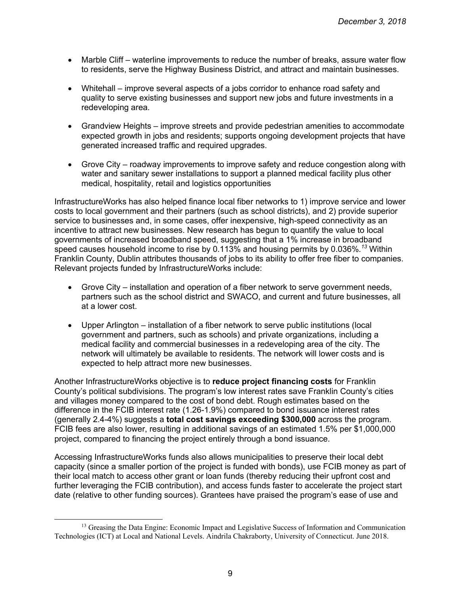- Marble Cliff waterline improvements to reduce the number of breaks, assure water flow to residents, serve the Highway Business District, and attract and maintain businesses.
- Whitehall improve several aspects of a jobs corridor to enhance road safety and quality to serve existing businesses and support new jobs and future investments in a redeveloping area.
- Grandview Heights improve streets and provide pedestrian amenities to accommodate expected growth in jobs and residents; supports ongoing development projects that have generated increased traffic and required upgrades.
- Grove City roadway improvements to improve safety and reduce congestion along with water and sanitary sewer installations to support a planned medical facility plus other medical, hospitality, retail and logistics opportunities

InfrastructureWorks has also helped finance local fiber networks to 1) improve service and lower costs to local government and their partners (such as school districts), and 2) provide superior service to businesses and, in some cases, offer inexpensive, high-speed connectivity as an incentive to attract new businesses. New research has begun to quantify the value to local governments of increased broadband speed, suggesting that a 1% increase in broadband speed causes household income to rise by 0.113% and housing permits by 0.036%*. <sup>13</sup>* Within Franklin County, Dublin attributes thousands of jobs to its ability to offer free fiber to companies. Relevant projects funded by InfrastructureWorks include:

- Grove City installation and operation of a fiber network to serve government needs, partners such as the school district and SWACO, and current and future businesses, all at a lower cost.
- Upper Arlington installation of a fiber network to serve public institutions (local government and partners, such as schools) and private organizations, including a medical facility and commercial businesses in a redeveloping area of the city. The network will ultimately be available to residents. The network will lower costs and is expected to help attract more new businesses.

Another InfrastructureWorks objective is to **reduce project financing costs** for Franklin County's political subdivisions. The program's low interest rates save Franklin County's cities and villages money compared to the cost of bond debt. Rough estimates based on the difference in the FCIB interest rate (1.26-1.9%) compared to bond issuance interest rates (generally 2.4-4%) suggests a **total cost savings exceeding \$300,000** across the program. FCIB fees are also lower, resulting in additional savings of an estimated 1.5% per \$1,000,000 project, compared to financing the project entirely through a bond issuance.

Accessing InfrastructureWorks funds also allows municipalities to preserve their local debt capacity (since a smaller portion of the project is funded with bonds), use FCIB money as part of their local match to access other grant or loan funds (thereby reducing their upfront cost and further leveraging the FCIB contribution), and access funds faster to accelerate the project start date (relative to other funding sources). Grantees have praised the program's ease of use and

 $\overline{a}$ 

<sup>&</sup>lt;sup>13</sup> Greasing the Data Engine: Economic Impact and Legislative Success of Information and Communication Technologies (ICT) at Local and National Levels. Aindrila Chakraborty, University of Connecticut. June 2018.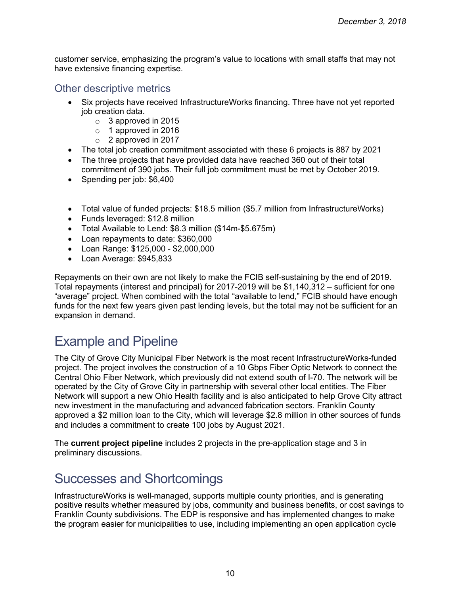customer service, emphasizing the program's value to locations with small staffs that may not have extensive financing expertise.

#### Other descriptive metrics

- Six projects have received InfrastructureWorks financing. Three have not yet reported job creation data.
	- o 3 approved in 2015
	- o 1 approved in 2016
	- o 2 approved in 2017
- The total job creation commitment associated with these 6 projects is 887 by 2021
- The three projects that have provided data have reached 360 out of their total commitment of 390 jobs. Their full job commitment must be met by October 2019.
- Spending per job: \$6,400
- Total value of funded projects: \$18.5 million (\$5.7 million from InfrastructureWorks)
- Funds leveraged: \$12.8 million
- Total Available to Lend: \$8.3 million (\$14m-\$5.675m)
- Loan repayments to date: \$360,000
- Loan Range: \$125,000 \$2,000,000
- Loan Average: \$945,833

Repayments on their own are not likely to make the FCIB self-sustaining by the end of 2019. Total repayments (interest and principal) for 2017-2019 will be \$1,140,312 – sufficient for one "average" project. When combined with the total "available to lend," FCIB should have enough funds for the next few years given past lending levels, but the total may not be sufficient for an expansion in demand.

# Example and Pipeline

The City of Grove City Municipal Fiber Network is the most recent InfrastructureWorks-funded project. The project involves the construction of a 10 Gbps Fiber Optic Network to connect the Central Ohio Fiber Network, which previously did not extend south of I-70. The network will be operated by the City of Grove City in partnership with several other local entities. The Fiber Network will support a new Ohio Health facility and is also anticipated to help Grove City attract new investment in the manufacturing and advanced fabrication sectors. Franklin County approved a \$2 million loan to the City, which will leverage \$2.8 million in other sources of funds and includes a commitment to create 100 jobs by August 2021.

The **current project pipeline** includes 2 projects in the pre-application stage and 3 in preliminary discussions.

### Successes and Shortcomings

InfrastructureWorks is well-managed, supports multiple county priorities, and is generating positive results whether measured by jobs, community and business benefits, or cost savings to Franklin County subdivisions. The EDP is responsive and has implemented changes to make the program easier for municipalities to use, including implementing an open application cycle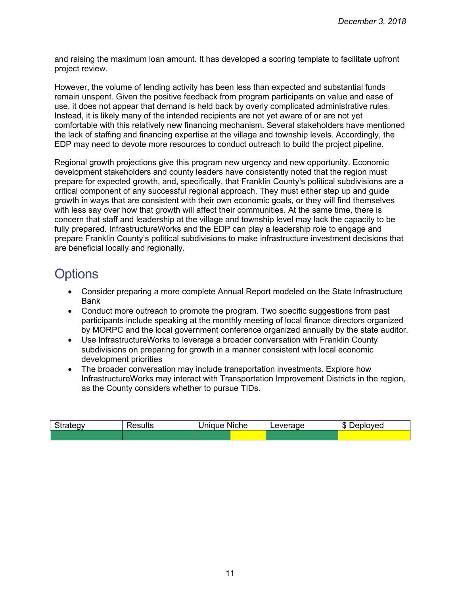and raising the maximum loan amount. It has developed a scoring template to facilitate upfront project review.

However, the volume of lending activity has been less than expected and substantial funds remain unspent. Given the positive feedback from program participants on value and ease of use, it does not appear that demand is held back by overly complicated administrative rules. Instead, it is likely many of the intended recipients are not yet aware of or are not yet comfortable with this relatively new financing mechanism. Several stakeholders have mentioned the lack of staffing and financing expertise at the village and township levels. Accordingly, the EDP may need to devote more resources to conduct outreach to build the project pipeline.

Regional growth projections give this program new urgency and new opportunity. Economic development stakeholders and county leaders have consistently noted that the region must prepare for expected growth, and, specifically, that Franklin County's political subdivisions are a critical component of any successful regional approach. They must either step up and guide growth in ways that are consistent with their own economic goals, or they will find themselves with less say over how that growth will affect their communities. At the same time, there is concern that staff and leadership at the village and township level may lack the capacity to be fully prepared. InfrastructureWorks and the EDP can play a leadership role to engage and prepare Franklin County's political subdivisions to make infrastructure investment decisions that are beneficial locally and regionally.

# **Options**

- Consider preparing a more complete Annual Report modeled on the State Infrastructure Bank
- Conduct more outreach to promote the program. Two specific suggestions from past participants include speaking at the monthly meeting of local finance directors organized by MORPC and the local government conference organized annually by the state auditor.
- Use InfrastructureWorks to leverage a broader conversation with Franklin County subdivisions on preparing for growth in a manner consistent with local economic development priorities
- The broader conversation may include transportation investments. Explore how InfrastructureWorks may interact with Transportation Improvement Districts in the region, as the County considers whether to pursue TIDs.

| ategy | Raculta | .<br><b>Niche</b><br>Jniaue | everage<br>ີ | œ<br>วvea<br>эн<br>∸י<br>ъĐ. |
|-------|---------|-----------------------------|--------------|------------------------------|
|       |         |                             |              |                              |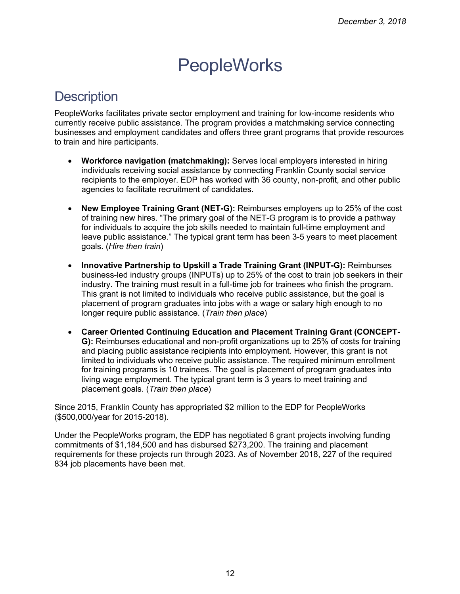# **PeopleWorks**

### **Description**

PeopleWorks facilitates private sector employment and training for low-income residents who currently receive public assistance. The program provides a matchmaking service connecting businesses and employment candidates and offers three grant programs that provide resources to train and hire participants.

- **Workforce navigation (matchmaking):** Serves local employers interested in hiring individuals receiving social assistance by connecting Franklin County social service recipients to the employer. EDP has worked with 36 county, non-profit, and other public agencies to facilitate recruitment of candidates.
- **New Employee Training Grant (NET-G):** Reimburses employers up to 25% of the cost of training new hires. "The primary goal of the NET-G program is to provide a pathway for individuals to acquire the job skills needed to maintain full-time employment and leave public assistance." The typical grant term has been 3-5 years to meet placement goals. (*Hire then train*)
- **Innovative Partnership to Upskill a Trade Training Grant (INPUT-G):** Reimburses business-led industry groups (INPUTs) up to 25% of the cost to train job seekers in their industry. The training must result in a full-time job for trainees who finish the program. This grant is not limited to individuals who receive public assistance, but the goal is placement of program graduates into jobs with a wage or salary high enough to no longer require public assistance. (*Train then place*)
- **Career Oriented Continuing Education and Placement Training Grant (CONCEPT-G):** Reimburses educational and non-profit organizations up to 25% of costs for training and placing public assistance recipients into employment. However, this grant is not limited to individuals who receive public assistance. The required minimum enrollment for training programs is 10 trainees. The goal is placement of program graduates into living wage employment. The typical grant term is 3 years to meet training and placement goals. (*Train then place*)

Since 2015, Franklin County has appropriated \$2 million to the EDP for PeopleWorks (\$500,000/year for 2015-2018).

Under the PeopleWorks program, the EDP has negotiated 6 grant projects involving funding commitments of \$1,184,500 and has disbursed \$273,200. The training and placement requirements for these projects run through 2023. As of November 2018, 227 of the required 834 job placements have been met.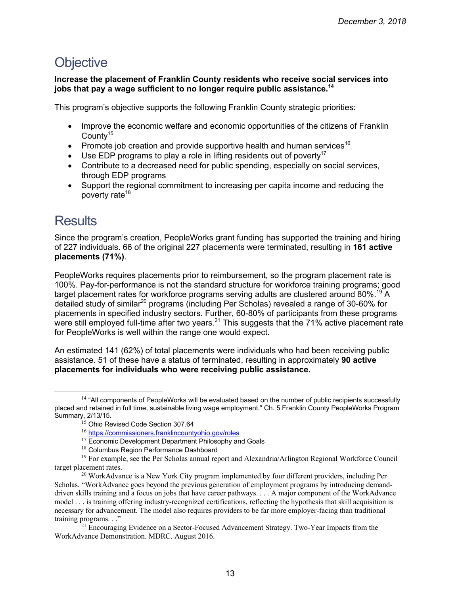### **Objective**

**Increase the placement of Franklin County residents who receive social services into jobs that pay a wage sufficient to no longer require public assistance.<sup>14</sup>**

This program's objective supports the following Franklin County strategic priorities:

- Improve the economic welfare and economic opportunities of the citizens of Franklin County<sup>15</sup>
- Promote job creation and provide supportive health and human services<sup>16</sup>
- Use EDP programs to play a role in lifting residents out of poverty<sup>17</sup>
- Contribute to a decreased need for public spending, especially on social services, through EDP programs
- Support the regional commitment to increasing per capita income and reducing the poverty rate<sup>18</sup>

# **Results**

 $\overline{a}$ 

Since the program's creation, PeopleWorks grant funding has supported the training and hiring of 227 individuals. 66 of the original 227 placements were terminated, resulting in **161 active placements (71%)**.

PeopleWorks requires placements prior to reimbursement, so the program placement rate is 100%. Pay-for-performance is not the standard structure for workforce training programs; good target placement rates for workforce programs serving adults are clustered around 80%.<sup>19</sup> A detailed study of similar<sup>20</sup> programs (including Per Scholas) revealed a range of 30-60% for placements in specified industry sectors. Further, 60-80% of participants from these programs were still employed full-time after two years.<sup>21</sup> This suggests that the 71% active placement rate for PeopleWorks is well within the range one would expect.

An estimated 141 (62%) of total placements were individuals who had been receiving public assistance. 51 of these have a status of terminated, resulting in approximately **90 active placements for individuals who were receiving public assistance.**

<sup>&</sup>lt;sup>14</sup> "All components of PeopleWorks will be evaluated based on the number of public recipients successfully placed and retained in full time, sustainable living wage employment." Ch. 5 Franklin County PeopleWorks Program Summary, 2/13/15.

<sup>&</sup>lt;sup>15</sup> Ohio Revised Code Section 307.64

<sup>16</sup> https://commissioners.franklincountyohio.gov/roles

<sup>&</sup>lt;sup>17</sup> Economic Development Department Philosophy and Goals

<sup>&</sup>lt;sup>18</sup> Columbus Region Performance Dashboard

<sup>&</sup>lt;sup>19</sup> For example, see the Per Scholas annual report and Alexandria/Arlington Regional Workforce Council target placement rates.<br><sup>20</sup> WorkAdvance is a New York City program implemented by four different providers, including Per

Scholas. "WorkAdvance goes beyond the previous generation of employment programs by introducing demanddriven skills training and a focus on jobs that have career pathways. . . . A major component of the WorkAdvance model . . . is training offering industry-recognized certifications, reflecting the hypothesis that skill acquisition is necessary for advancement. The model also requires providers to be far more employer-facing than traditional training programs. . ."<br><sup>21</sup> Encouraging Evidence on a Sector-Focused Advancement Strategy. Two-Year Impacts from the

WorkAdvance Demonstration. MDRC. August 2016.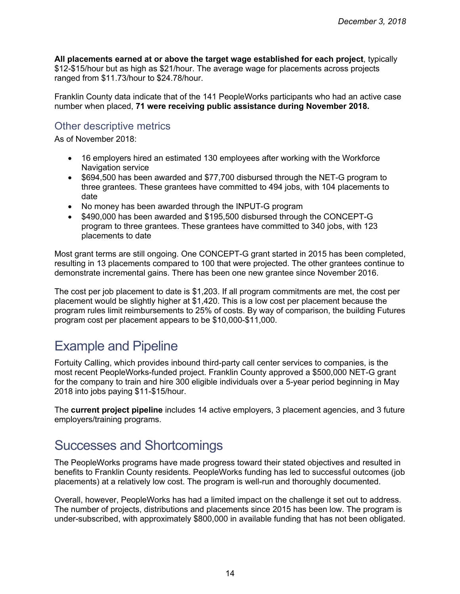**All placements earned at or above the target wage established for each project**, typically \$12-\$15/hour but as high as \$21/hour. The average wage for placements across projects ranged from \$11.73/hour to \$24.78/hour.

Franklin County data indicate that of the 141 PeopleWorks participants who had an active case number when placed, **71 were receiving public assistance during November 2018.**

#### Other descriptive metrics

As of November 2018:

- 16 employers hired an estimated 130 employees after working with the Workforce Navigation service
- \$694,500 has been awarded and \$77,700 disbursed through the NET-G program to three grantees. These grantees have committed to 494 jobs, with 104 placements to date
- No money has been awarded through the INPUT-G program
- \$490,000 has been awarded and \$195,500 disbursed through the CONCEPT-G program to three grantees. These grantees have committed to 340 jobs, with 123 placements to date

Most grant terms are still ongoing. One CONCEPT-G grant started in 2015 has been completed, resulting in 13 placements compared to 100 that were projected. The other grantees continue to demonstrate incremental gains. There has been one new grantee since November 2016.

The cost per job placement to date is \$1,203. If all program commitments are met, the cost per placement would be slightly higher at \$1,420. This is a low cost per placement because the program rules limit reimbursements to 25% of costs. By way of comparison, the building Futures program cost per placement appears to be \$10,000-\$11,000.

### Example and Pipeline

Fortuity Calling, which provides inbound third-party call center services to companies, is the most recent PeopleWorks-funded project. Franklin County approved a \$500,000 NET-G grant for the company to train and hire 300 eligible individuals over a 5-year period beginning in May 2018 into jobs paying \$11-\$15/hour.

The **current project pipeline** includes 14 active employers, 3 placement agencies, and 3 future employers/training programs.

### Successes and Shortcomings

The PeopleWorks programs have made progress toward their stated objectives and resulted in benefits to Franklin County residents. PeopleWorks funding has led to successful outcomes (job placements) at a relatively low cost. The program is well-run and thoroughly documented.

Overall, however, PeopleWorks has had a limited impact on the challenge it set out to address. The number of projects, distributions and placements since 2015 has been low. The program is under-subscribed, with approximately \$800,000 in available funding that has not been obligated.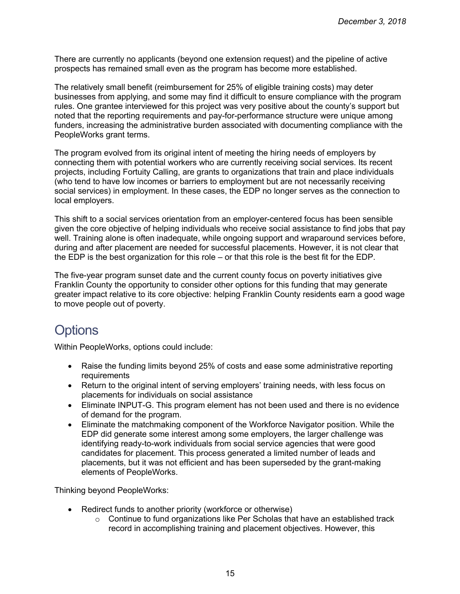There are currently no applicants (beyond one extension request) and the pipeline of active prospects has remained small even as the program has become more established.

The relatively small benefit (reimbursement for 25% of eligible training costs) may deter businesses from applying, and some may find it difficult to ensure compliance with the program rules. One grantee interviewed for this project was very positive about the county's support but noted that the reporting requirements and pay-for-performance structure were unique among funders, increasing the administrative burden associated with documenting compliance with the PeopleWorks grant terms.

The program evolved from its original intent of meeting the hiring needs of employers by connecting them with potential workers who are currently receiving social services. Its recent projects, including Fortuity Calling, are grants to organizations that train and place individuals (who tend to have low incomes or barriers to employment but are not necessarily receiving social services) in employment. In these cases, the EDP no longer serves as the connection to local employers.

This shift to a social services orientation from an employer-centered focus has been sensible given the core objective of helping individuals who receive social assistance to find jobs that pay well. Training alone is often inadequate, while ongoing support and wraparound services before, during and after placement are needed for successful placements. However, it is not clear that the EDP is the best organization for this role – or that this role is the best fit for the EDP.

The five-year program sunset date and the current county focus on poverty initiatives give Franklin County the opportunity to consider other options for this funding that may generate greater impact relative to its core objective: helping Franklin County residents earn a good wage to move people out of poverty.

### **Options**

Within PeopleWorks, options could include:

- Raise the funding limits beyond 25% of costs and ease some administrative reporting requirements
- Return to the original intent of serving employers' training needs, with less focus on placements for individuals on social assistance
- Eliminate INPUT-G. This program element has not been used and there is no evidence of demand for the program.
- Eliminate the matchmaking component of the Workforce Navigator position. While the EDP did generate some interest among some employers, the larger challenge was identifying ready-to-work individuals from social service agencies that were good candidates for placement. This process generated a limited number of leads and placements, but it was not efficient and has been superseded by the grant-making elements of PeopleWorks.

Thinking beyond PeopleWorks:

- Redirect funds to another priority (workforce or otherwise)
	- $\circ$  Continue to fund organizations like Per Scholas that have an established track record in accomplishing training and placement objectives. However, this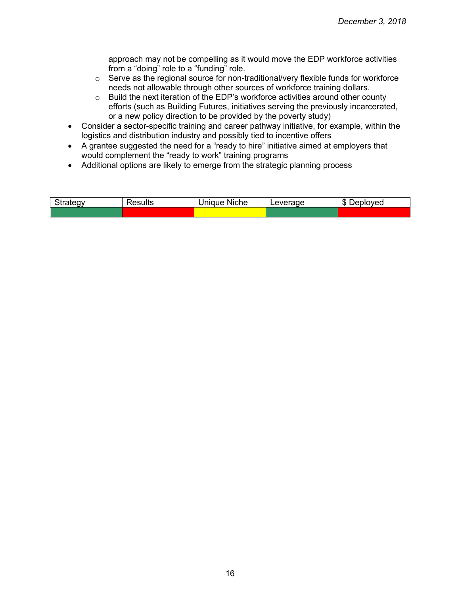approach may not be compelling as it would move the EDP workforce activities from a "doing" role to a "funding" role.

- o Serve as the regional source for non-traditional/very flexible funds for workforce needs not allowable through other sources of workforce training dollars.
- o Build the next iteration of the EDP's workforce activities around other county efforts (such as Building Futures, initiatives serving the previously incarcerated, or a new policy direction to be provided by the poverty study)
- Consider a sector-specific training and career pathway initiative, for example, within the logistics and distribution industry and possibly tied to incentive offers
- A grantee suggested the need for a "ready to hire" initiative aimed at employers that would complement the "ready to work" training programs
- Additional options are likely to emerge from the strategic planning process

| $\sim$ $\sim$ $\sim$ $\sim$ $\sim$<br><u>.</u> | tesults | .<br><b>Niche</b><br><i>Inique</i> | $\sim$ $\sim$ $\sim$<br>∟ever<br>aue | 灬<br>'ovea<br>ונו<br>[ )   (<br>J.D |
|------------------------------------------------|---------|------------------------------------|--------------------------------------|-------------------------------------|
|                                                |         |                                    |                                      |                                     |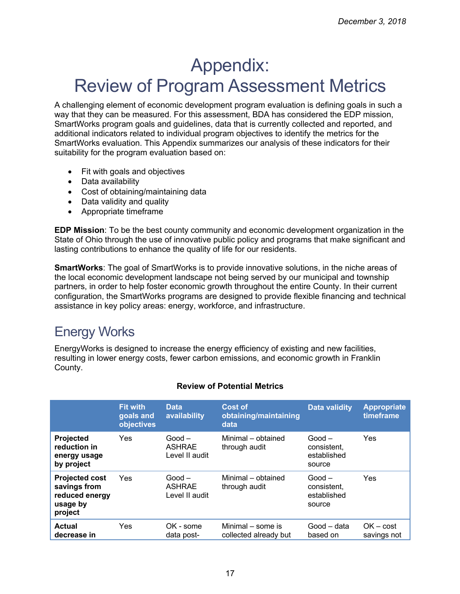# Appendix: Review of Program Assessment Metrics

A challenging element of economic development program evaluation is defining goals in such a way that they can be measured. For this assessment, BDA has considered the EDP mission, SmartWorks program goals and guidelines, data that is currently collected and reported, and additional indicators related to individual program objectives to identify the metrics for the SmartWorks evaluation. This Appendix summarizes our analysis of these indicators for their suitability for the program evaluation based on:

- Fit with goals and objectives
- Data availability
- Cost of obtaining/maintaining data
- Data validity and quality
- Appropriate timeframe

**EDP Mission**: To be the best county community and economic development organization in the State of Ohio through the use of innovative public policy and programs that make significant and lasting contributions to enhance the quality of life for our residents.

**SmartWorks**: The goal of SmartWorks is to provide innovative solutions, in the niche areas of the local economic development landscape not being served by our municipal and township partners, in order to help foster economic growth throughout the entire County. In their current configuration, the SmartWorks programs are designed to provide flexible financing and technical assistance in key policy areas: energy, workforce, and infrastructure.

# Energy Works

EnergyWorks is designed to increase the energy efficiency of existing and new facilities, resulting in lower energy costs, fewer carbon emissions, and economic growth in Franklin County.

|                                                                                | <b>Fit with</b><br>goals and<br>objectives | <b>Data</b><br>availability                 | <b>Cost of</b><br>obtaining/maintaining<br>data | <b>Data validity</b>                             | <b>Appropriate</b><br>timeframe |
|--------------------------------------------------------------------------------|--------------------------------------------|---------------------------------------------|-------------------------------------------------|--------------------------------------------------|---------------------------------|
| <b>Projected</b><br>reduction in<br>energy usage<br>by project                 | Yes                                        | $Good -$<br><b>ASHRAE</b><br>Level II audit | Minimal - obtained<br>through audit             | $Good -$<br>consistent.<br>established<br>source | Yes                             |
| <b>Projected cost</b><br>savings from<br>reduced energy<br>usage by<br>project | Yes                                        | $Good -$<br><b>ASHRAE</b><br>Level II audit | Minimal - obtained<br>through audit             | $Good -$<br>consistent.<br>established<br>source | Yes                             |
| <b>Actual</b><br>decrease in                                                   | Yes                                        | OK - some<br>data post-                     | Minimal – some is<br>collected already but      | Good – data<br>based on                          | $OK - cost$<br>savings not      |

#### **Review of Potential Metrics**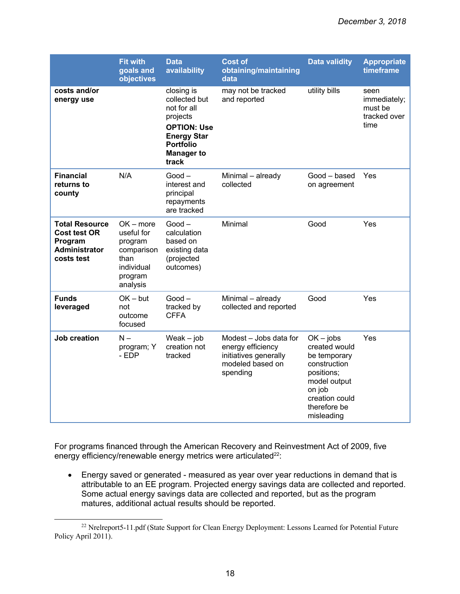|                                                                                               | <b>Fit with</b><br>goals and<br>objectives                                                      | <b>Data</b><br>availability                                                                                                                          | <b>Cost of</b><br>obtaining/maintaining<br>data                                                      | <b>Data validity</b>                                                                                                                                 | <b>Appropriate</b><br>timeframe                         |
|-----------------------------------------------------------------------------------------------|-------------------------------------------------------------------------------------------------|------------------------------------------------------------------------------------------------------------------------------------------------------|------------------------------------------------------------------------------------------------------|------------------------------------------------------------------------------------------------------------------------------------------------------|---------------------------------------------------------|
| costs and/or<br>energy use                                                                    |                                                                                                 | closing is<br>collected but<br>not for all<br>projects<br><b>OPTION: Use</b><br><b>Energy Star</b><br><b>Portfolio</b><br><b>Manager to</b><br>track | may not be tracked<br>and reported                                                                   | utility bills                                                                                                                                        | seen<br>immediately;<br>must be<br>tracked over<br>time |
| <b>Financial</b><br>returns to<br>county                                                      | N/A                                                                                             | $Good -$<br>interest and<br>principal<br>repayments<br>are tracked                                                                                   | Minimal - already<br>collected                                                                       | Good - based<br>on agreement                                                                                                                         | Yes                                                     |
| <b>Total Resource</b><br><b>Cost test OR</b><br>Program<br><b>Administrator</b><br>costs test | $OK$ – more<br>useful for<br>program<br>comparison<br>than<br>individual<br>program<br>analysis | $Good -$<br>calculation<br>based on<br>existing data<br>(projected<br>outcomes)                                                                      | Minimal                                                                                              | Good                                                                                                                                                 | Yes                                                     |
| <b>Funds</b><br>leveraged                                                                     | $OK - but$<br>not<br>outcome<br>focused                                                         | $Good -$<br>tracked by<br><b>CFFA</b>                                                                                                                | Minimal - already<br>collected and reported                                                          | Good                                                                                                                                                 | Yes                                                     |
| <b>Job creation</b>                                                                           | $N -$<br>program; Y<br>- EDP                                                                    | $Weak - job$<br>creation not<br>tracked                                                                                                              | Modest - Jobs data for<br>energy efficiency<br>initiatives generally<br>modeled based on<br>spending | $OK - jobs$<br>created would<br>be temporary<br>construction<br>positions;<br>model output<br>on job<br>creation could<br>therefore be<br>misleading | Yes                                                     |

For programs financed through the American Recovery and Reinvestment Act of 2009, five energy efficiency/renewable energy metrics were articulated<sup>22</sup>:

• Energy saved or generated - measured as year over year reductions in demand that is attributable to an EE program. Projected energy savings data are collected and reported. Some actual energy savings data are collected and reported, but as the program matures, additional actual results should be reported.

 $\overline{a}$ 

<sup>&</sup>lt;sup>22</sup> Nrelreport5-11.pdf (State Support for Clean Energy Deployment: Lessons Learned for Potential Future Policy April 2011).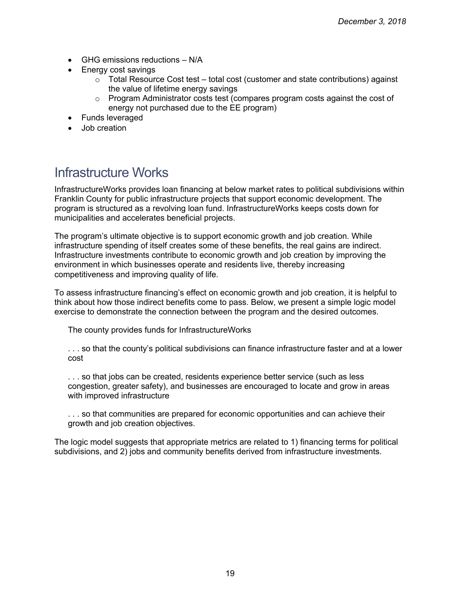- GHG emissions reductions N/A
- Energy cost savings
	- o Total Resource Cost test total cost (customer and state contributions) against the value of lifetime energy savings
	- $\circ$  Program Administrator costs test (compares program costs against the cost of energy not purchased due to the EE program)
- Funds leveraged
- Job creation

### Infrastructure Works

InfrastructureWorks provides loan financing at below market rates to political subdivisions within Franklin County for public infrastructure projects that support economic development. The program is structured as a revolving loan fund. InfrastructureWorks keeps costs down for municipalities and accelerates beneficial projects.

The program's ultimate objective is to support economic growth and job creation. While infrastructure spending of itself creates some of these benefits, the real gains are indirect. Infrastructure investments contribute to economic growth and job creation by improving the environment in which businesses operate and residents live, thereby increasing competitiveness and improving quality of life.

To assess infrastructure financing's effect on economic growth and job creation, it is helpful to think about how those indirect benefits come to pass. Below, we present a simple logic model exercise to demonstrate the connection between the program and the desired outcomes.

The county provides funds for InfrastructureWorks

. . . so that the county's political subdivisions can finance infrastructure faster and at a lower cost

. . . so that jobs can be created, residents experience better service (such as less congestion, greater safety), and businesses are encouraged to locate and grow in areas with improved infrastructure

. . . so that communities are prepared for economic opportunities and can achieve their growth and job creation objectives.

The logic model suggests that appropriate metrics are related to 1) financing terms for political subdivisions, and 2) jobs and community benefits derived from infrastructure investments.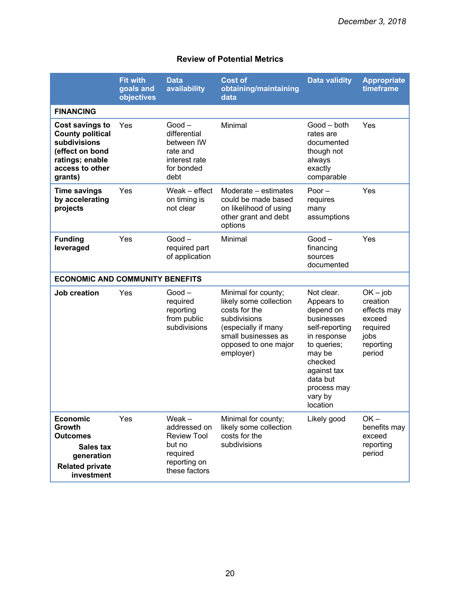|                                                                                                                                       | <b>Fit with</b><br>goals and<br>objectives | <b>Data</b><br>availability                                                                           | <b>Cost of</b><br>obtaining/maintaining<br>data                                                                                                                   | <b>Data validity</b>                                                                                                                                                                      | <b>Appropriate</b><br>timeframe                                                            |
|---------------------------------------------------------------------------------------------------------------------------------------|--------------------------------------------|-------------------------------------------------------------------------------------------------------|-------------------------------------------------------------------------------------------------------------------------------------------------------------------|-------------------------------------------------------------------------------------------------------------------------------------------------------------------------------------------|--------------------------------------------------------------------------------------------|
| <b>FINANCING</b>                                                                                                                      |                                            |                                                                                                       |                                                                                                                                                                   |                                                                                                                                                                                           |                                                                                            |
| <b>Cost savings to</b><br><b>County political</b><br>subdivisions<br>(effect on bond<br>ratings; enable<br>access to other<br>grants) | Yes                                        | $Good -$<br>differential<br>between IW<br>rate and<br>interest rate<br>for bonded<br>debt             | Minimal                                                                                                                                                           | Good – both<br>rates are<br>documented<br>though not<br>always<br>exactly<br>comparable                                                                                                   | Yes                                                                                        |
| <b>Time savings</b><br>by accelerating<br>projects                                                                                    | Yes                                        | Weak - effect<br>on timing is<br>not clear                                                            | Moderate – estimates<br>could be made based<br>on likelihood of using<br>other grant and debt<br>options                                                          | Poor $-$<br>requires<br>many<br>assumptions                                                                                                                                               | Yes                                                                                        |
| <b>Funding</b><br>leveraged                                                                                                           | Yes                                        | $Good -$<br>required part<br>of application                                                           | Minimal                                                                                                                                                           | $Good -$<br>financing<br>sources<br>documented                                                                                                                                            | Yes                                                                                        |
| <b>ECONOMIC AND COMMUNITY BENEFITS</b>                                                                                                |                                            |                                                                                                       |                                                                                                                                                                   |                                                                                                                                                                                           |                                                                                            |
| <b>Job creation</b>                                                                                                                   | Yes                                        | $Good -$<br>required<br>reporting<br>from public<br>subdivisions                                      | Minimal for county;<br>likely some collection<br>costs for the<br>subdivisions<br>(especially if many<br>small businesses as<br>opposed to one major<br>employer) | Not clear.<br>Appears to<br>depend on<br>businesses<br>self-reporting<br>in response<br>to queries;<br>may be<br>checked<br>against tax<br>data but<br>process may<br>vary by<br>location | $OK - job$<br>creation<br>effects may<br>exceed<br>required<br>jobs<br>reporting<br>period |
| <b>Economic</b><br>Growth<br><b>Outcomes</b><br><b>Sales tax</b><br>generation<br><b>Related private</b><br>investment                | Yes                                        | Weak $-$<br>addressed on<br><b>Review Tool</b><br>but no<br>required<br>reporting on<br>these factors | Minimal for county;<br>likely some collection<br>costs for the<br>subdivisions                                                                                    | Likely good                                                                                                                                                                               | $OK -$<br>benefits may<br>exceed<br>reporting<br>period                                    |

#### **Review of Potential Metrics**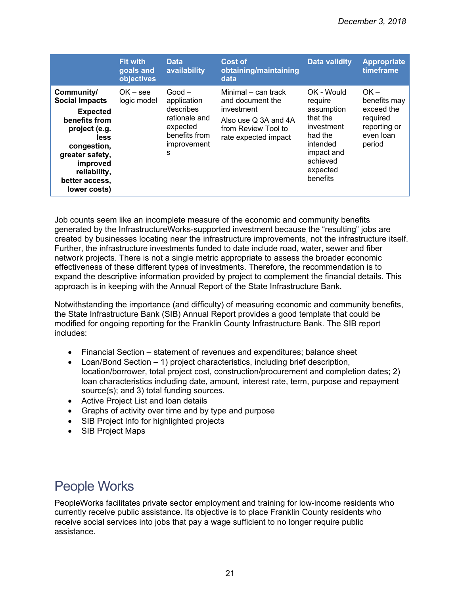|                                                                                                                                                                                                  | Fit with<br>goals and<br>objectives | <b>Data</b><br>availability                                                                            | Cost of<br>obtaining/maintaining<br>data                                                                                     | Data validity                                                                                                                          | <b>Appropriate</b><br>timeframe                                                         |
|--------------------------------------------------------------------------------------------------------------------------------------------------------------------------------------------------|-------------------------------------|--------------------------------------------------------------------------------------------------------|------------------------------------------------------------------------------------------------------------------------------|----------------------------------------------------------------------------------------------------------------------------------------|-----------------------------------------------------------------------------------------|
| Community/<br><b>Social Impacts</b><br><b>Expected</b><br>benefits from<br>project (e.g.<br>less<br>congestion,<br>greater safety,<br>improved<br>reliability,<br>better access,<br>lower costs) | $OK - see$<br>logic model           | $Good -$<br>application<br>describes<br>rationale and<br>expected<br>benefits from<br>improvement<br>S | Minimal – can track<br>and document the<br>investment<br>Also use Q 3A and 4A<br>from Review Tool to<br>rate expected impact | OK - Would<br>require<br>assumption<br>that the<br>investment<br>had the<br>intended<br>impact and<br>achieved<br>expected<br>benefits | $OK -$<br>benefits may<br>exceed the<br>required<br>reporting or<br>even loan<br>period |

Job counts seem like an incomplete measure of the economic and community benefits generated by the InfrastructureWorks-supported investment because the "resulting" jobs are created by businesses locating near the infrastructure improvements, not the infrastructure itself. Further, the infrastructure investments funded to date include road, water, sewer and fiber network projects. There is not a single metric appropriate to assess the broader economic effectiveness of these different types of investments. Therefore, the recommendation is to expand the descriptive information provided by project to complement the financial details. This approach is in keeping with the Annual Report of the State Infrastructure Bank.

Notwithstanding the importance (and difficulty) of measuring economic and community benefits, the State Infrastructure Bank (SIB) Annual Report provides a good template that could be modified for ongoing reporting for the Franklin County Infrastructure Bank. The SIB report includes:

- Financial Section statement of revenues and expenditures; balance sheet
- Loan/Bond Section 1) project characteristics, including brief description, location/borrower, total project cost, construction/procurement and completion dates; 2) loan characteristics including date, amount, interest rate, term, purpose and repayment source(s); and 3) total funding sources.
- Active Project List and loan details
- Graphs of activity over time and by type and purpose
- SIB Project Info for highlighted projects
- SIB Project Maps

# People Works

PeopleWorks facilitates private sector employment and training for low-income residents who currently receive public assistance. Its objective is to place Franklin County residents who receive social services into jobs that pay a wage sufficient to no longer require public assistance.